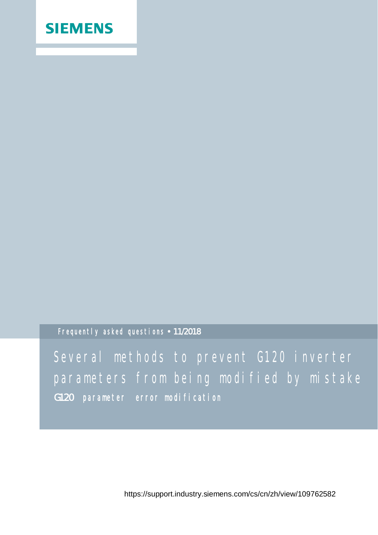## **SIEMENS**

Frequently asked questions 11**/**2018

Several methods to prevent G120 inverter parameters from being modified by mistake G120 parameter error modification

https://support.industry.siemens.com/cs/cn/zh/view/109762582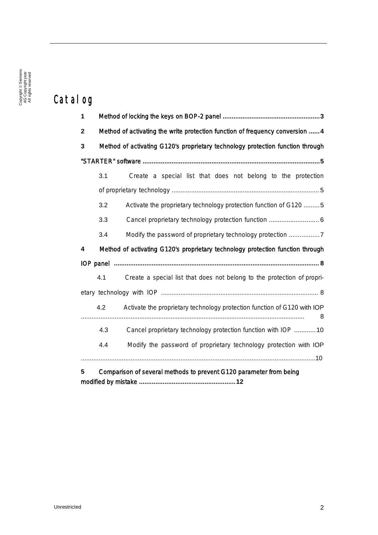## Catalog

| 1           |     |                                                                                |
|-------------|-----|--------------------------------------------------------------------------------|
| $\mathbf 2$ |     | Method of activating the write protection function of frequency conversion  4  |
| 3           |     | Method of activating G120's proprietary technology protection function through |
|             |     |                                                                                |
|             | 3.1 | Create a special list that does not belong to the protection                   |
|             |     |                                                                                |
|             | 3.2 | Activate the proprietary technology protection function of G120  5             |
|             | 3.3 | Cancel proprietary technology protection function  6                           |
|             | 3.4 | Modify the password of proprietary technology protection                       |
| 4           |     | Method of activating G120's proprietary technology protection function through |
|             |     |                                                                                |
|             | 4.1 | Create a special list that does not belong to the protection of propri-        |
|             |     |                                                                                |
|             | 4.2 | Activate the proprietary technology protection function of G120 with IOP<br>8  |
|             | 4.3 | Cancel proprietary technology protection function with IOP  10                 |
|             | 4.4 | Modify the password of proprietary technology protection with IOP              |
|             |     |                                                                                |
| 5           |     | Comparison of several methods to prevent G120 parameter from being             |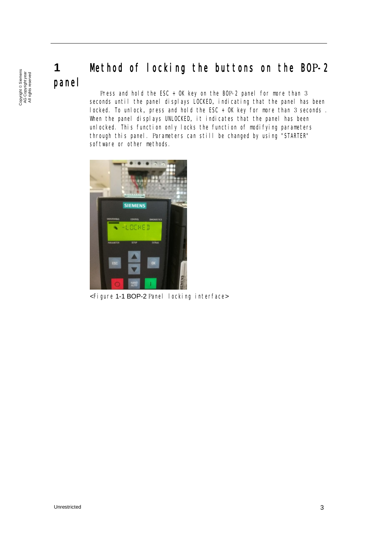# panel

Copyright ã Siemens AG Copyright year All rights reserved

Copyright © Siemens<br>AG Copyright year<br>All rights reserved

# <span id="page-2-0"></span>**1** Method of locking the buttons on the BOP-2

<span id="page-2-1"></span> Press and hold the ESC + OK key on the BOP-2 panel for more than 3 seconds until the panel displays LOCKED, indicating that the panel has been locked. To unlock, press and hold the ESC + OK key for more than 3 seconds . When the panel displays UNLOCKED, it indicates that the panel has been unlocked. This function only locks the function of modifying parameters through this panel. Parameters can still be changed by using "STARTER" software or other methods.



<Figure 1-1 BOP-2 Panel locking interface>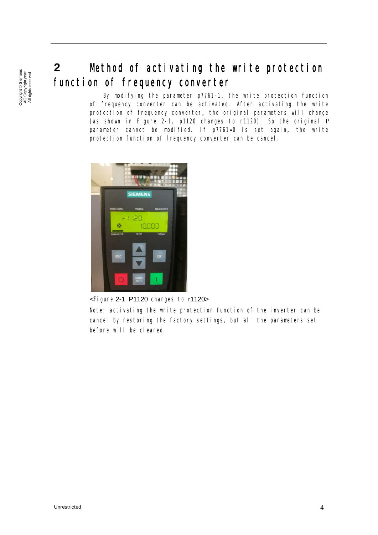## **2** Method of activating the write protection function of frequency converter

<span id="page-3-0"></span>By modifying the parameter p7761-1, the write protection function of frequency converter can be activated. After activating the write protection of frequency converter, the original parameters will change (as shown in Figure 2-1, p1120 changes to r1120). So the original P parameter cannot be modified. If p7761=0 is set again, the write protection function of frequency converter can be cancel.



<Figure 2-1 P1120 changes to r1120>

Note: activating the write protection function of the inverter can be cancel by restoring the factory settings, but all the parameters set before will be cleared.

Copyright © Siemens<br>AG Copyright year<br>All rights reserved Copyright ã Siemens AG Copyright year All rights reserved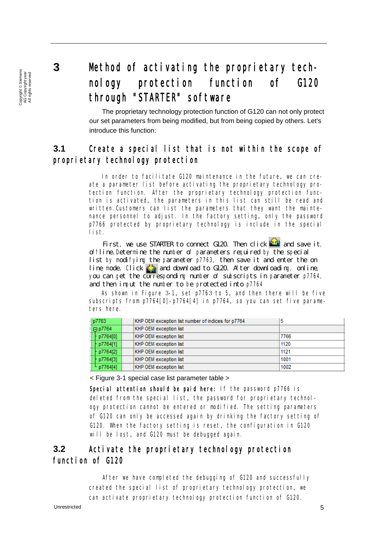Copyright © Siemens<br>AG Copyright year<br>All rights reserved Copyright ã Siemens AG Copyright year All rights reserved

## <span id="page-4-0"></span>**3** Method of activating the proprietary technology protection function of G120 through "STARTER" software

<span id="page-4-1"></span> The proprietary technology protection function of G120 can not only protect our set parameters from being modified, but from being copied by others. Let's introduce this function:

### **3.1** Create a special list that is not within the scope of proprietary technology protection

In order to facilitate G120 maintenance in the future, we can create a parameter list before activating the proprietary technology protection function. After the proprietary technology protection function is activated, the parameters in this list can still be read and written.Customers can list the parameters that they want the maintenance personnel to adjust. In the factory setting, only the password p7766 protected by proprietary technology is include in the special list.

First, we use STARTER to connect G120. Then click  $\mathbb{R}^n$  and save it, offline.Determine the number of parameters required by the special list by modifying the parameter p7763, then save it and enter the on line mode. Click  $\sum_{i=1}^{n}$  and download to G120. After downloading, online, you can get the corresponding number of subscripts in parameter p7764, and then input the number to be protected into p7764

As shown in Figure 3-1, set p7763 to 5, and then there will be five subscripts from p7764[0]-p7764[4] in p7764, so you can set five parameters here.

|  | p7763          | KHP OEM exception list number of indices for p7764 | 5    |  |
|--|----------------|----------------------------------------------------|------|--|
|  | $\Box$ p7764   | KHP OEM exception list                             |      |  |
|  | p7764[0]       | KHP OEM exception list                             | 7766 |  |
|  | p7764[1]       | KHP OEM exception list                             | 1120 |  |
|  | p7764[2]       | KHP OEM exception list                             | 1121 |  |
|  | $P_{p7764[3]}$ | KHP OEM exception list                             | 1001 |  |
|  | $L_{p7764[4]}$ | KHP OEM exception list                             | 1002 |  |

<span id="page-4-2"></span>< Figure 3-1 special case list parameter table >

Special attention should be paid here: If the password p7766 is deleted from the special list, the password for proprietary technology protection cannot be entered or modified. The setting parameters of G120 can only be accessed again by drinking the factory setting of G120. When the factory setting is reset, the configuration in G120 will be lost, and G120 must be debugged again.

### **3.2** Activate the proprietary technology protection function of G120

After we have completed the debugging of G120 and successfully created the special list of proprietary technology protection, we can activate proprietary technology protection function of G120.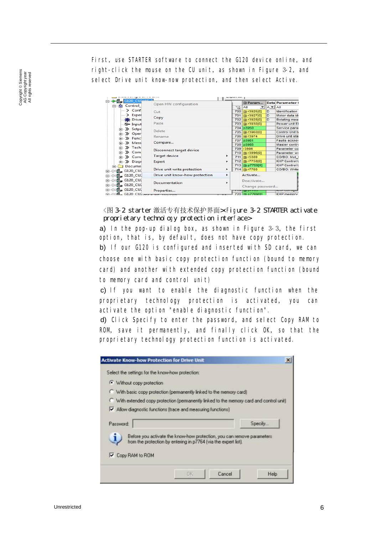First, use STARTER software to connect the G120 device online, and right-click the mouse on the CU unit, as shown in Figure 3-2, and select Drive unit know-now protection, and then select Active.

| <b>IL. G120</b>      | Open HW configuration                                           |   |                  | 田 Param             |                      | <b>Data</b> Parameter t |
|----------------------|-----------------------------------------------------------------|---|------------------|---------------------|----------------------|-------------------------|
| Control<br>ŔИ.       |                                                                 |   |                  | Se All<br>▾         | $A = A$              |                         |
| $\sum$ Conf          | Cut                                                             |   |                  | 700 (F) r3925[0]    | D                    | <b>Identification</b>   |
| $\sum$ Exper         | Copy                                                            |   | 701              | FB r3927[0]         | D                    | Motor data ide          |
| <b>Drive</b>         |                                                                 |   | 702              | (F) r3928[0]        | D                    | Rotating meas           |
| S- Input             | Paste                                                           |   |                  | 703 (F) r3930[0]    |                      | Power unit FF           |
| E->> Setpo           |                                                                 |   |                  | 704 p3950           |                      | Service paral           |
| (= >> Oper           | Delete                                                          |   |                  | 705 FB r3960[0]     |                      | Control Unit to         |
| $\gg$ Func<br>中      | Rename                                                          |   |                  | 706 円 r3974         |                      | Drive unit star         |
|                      | Compare                                                         |   | 707 p3981        |                     | Faults acknoy        |                         |
| (+ → Mess            |                                                                 |   |                  | 708 p3985           |                      | Master contro           |
| E-> Tech             | Disconnect target device<br><b>Target device</b><br>Expert<br>٠ |   | 709 r3986        |                     | Parameter co         |                         |
| <b>E</b> >> Com      |                                                                 |   | 710 (F) r3996[0] |                     | Parameter wi         |                         |
| <b>E</b> >> Com      |                                                                 |   | 711 田 r5389      |                     | CO/BO: Mot 1         |                         |
| <b>E</b> >> Diagr    |                                                                 |   | 712 (B) r7758[0] |                     | <b>KHP Control L</b> |                         |
| Docume               |                                                                 |   |                  | 713 @ p7759[0]      |                      | <b>KHP Control L</b>    |
| JD G120_CU           | Drive unit write protection                                     | ٠ |                  | 714 <b>ED</b> r7760 |                      | CO/BO: Write            |
| G120 CU              | Drive unit know-how protection                                  |   |                  | Activate            |                      |                         |
| G120 CU              | Documentation                                                   | ٠ |                  | Deactivate          | Change password      |                         |
| G120_CU              | Properties                                                      |   |                  | ,,,,,,,,,,,,,       |                      |                         |
| $61.00$ $6120$ $C11$ |                                                                 |   |                  | 720 FB p7769(0)     |                      | <b>KHP</b> memory       |

<图 3-2 starter 激活专有技术保护界面><Figure 3-2 STARTER activate proprietary technology protection interface>

a) In the pop-up dialog box, as shown in Figure 3-3, the first option, that is, by default, does not have copy protection.

b) If our G120 is configured and inserted with SD card, we can choose one with basic copy protection function (bound to memory card) and another with extended copy protection function (bound to memory card and control unit)

 c) If you want to enable the diagnostic function when the proprietary technology protection is activated, you can activate the option "enable diagnostic function".

 d) Click Specify to enter the password, and select Copy RAM to ROM, save it permanently, and finally click OK, so that the proprietary technology protection function is activated.

<span id="page-5-0"></span>

| Select the settings for the know-how protection: |                                                                                          |         |
|--------------------------------------------------|------------------------------------------------------------------------------------------|---------|
| · Without copy protection                        |                                                                                          |         |
|                                                  | With basic copy protection (permanently linked to the memory card)                       |         |
|                                                  | C With extended copy protection (permanently linked to the memory card and control unit) |         |
|                                                  |                                                                                          |         |
|                                                  | IV Allow diagnostic functions (trace and measuring functions)                            |         |
| Password:                                        |                                                                                          | Specify |
|                                                  | Before you activate the know-how protection, you can remove parameters                   |         |
|                                                  | from the protection by entering in p7764 (via the expert list).                          |         |
| <b>V</b> Copy RAM to ROM                         |                                                                                          |         |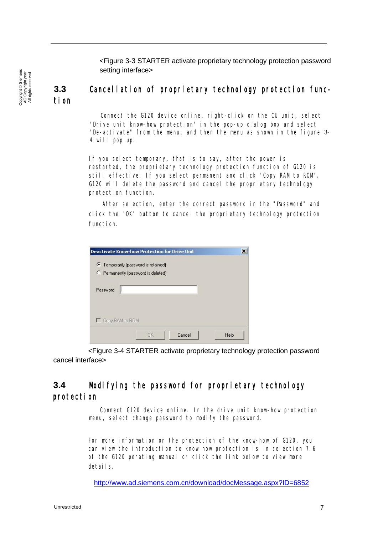<Figure 3-3 STARTER activate proprietary technology protection password setting interface>

#### Copyright © Siemens<br>AG Copyright year<br>All rights reserved Copyright ã Siemens AG Copyright year All rights reserved

#### **3.3** Cancellation of proprietary technology protection function

Connect the G120 device online, right-click on the CU unit, select "Drive unit know-how protection" in the pop-up dialog box and select "De-activate" from the menu, and then the menu as shown in the figure 3- 4 will pop up.

If you select temporary, that is to say, after the power is restarted, the proprietary technology protection function of G120 is still effective. If you select permanent and click "Copy RAM to ROM", G120 will delete the password and cancel the proprietary technology protection function.

After selection, enter the correct password in the "Password" and click the "OK" button to cancel the proprietary technology protection function.

<span id="page-6-0"></span>

| <b>Deactivate Know-how Protection for Drive Unit</b> | ×    |
|------------------------------------------------------|------|
| • Temporarily (password is retained)                 |      |
| C Permanently (password is deleted)                  |      |
| Password                                             |      |
| Copy RAM to ROM                                      |      |
| OK.<br>Cancel                                        | Help |

 <Figure 3-4 STARTER activate proprietary technology protection password cancel interface>

#### **3.4** Modifying the password for proprietary technology protection

Connect G120 device online. In the drive unit know-how protection menu, select change password to modify the password.

For more information on the protection of the know-how of G120, you can view the introduction to know how protection is in selection 7.6 of the G120 perating manual or click the link below to view more details.

http://www.ad.siemens.com.cn/download/docMessage.aspx?ID=6852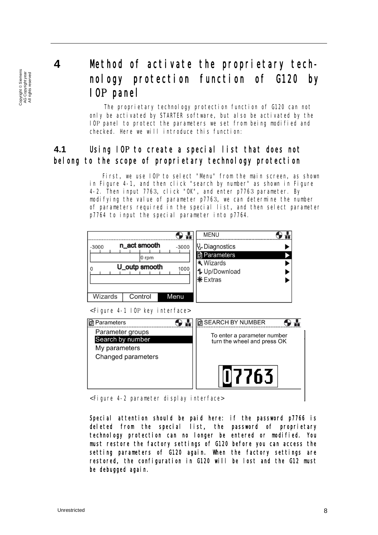Copyright © Siemens<br>AG Copyright year<br>All rights reserved Copyright ã Siemens AG Copyright year All rights reserved

## <span id="page-7-0"></span>**4** Method of activate the proprietary technology protection function of G120 by IOP panel

<span id="page-7-1"></span>The proprietary technology protection function of G120 can not only be activated by STARTER software, but also be activated by the IOP panel to protect the parameters we set from being modified and checked. Here we will introduce this function:

### **4.1** Using IOP to create a special list that does not belong to the scope of proprietary technology protection

First, we use IOP to select "Menu" from the main screen, as shown in Figure 4-1, and then click "search by number" as shown in Figure 4-2. Then input 7763, click "OK", and enter p7763 parameter. By modifying the value of parameter p7763, we can determine the number of parameters required in the special list, and then select parameter p7764 to input the special parameter into p7764.

| n_act smooth<br>$-3000$<br>$-3000$<br>0 rpm<br>U_outp smooth<br>1000 | <b>MENU</b><br>V. Diagnostics<br><b>n</b> Parameters<br><b>*</b> Wizards<br><b>1</b> Up/Download<br>$*$ Extras |
|----------------------------------------------------------------------|----------------------------------------------------------------------------------------------------------------|
| Control<br>Wizards<br>Menu                                           |                                                                                                                |
| <figure 4-1="" interface="" iop="" key=""></figure>                  |                                                                                                                |
| <b>D</b> Parameters                                                  | <b>M</b> SEARCH BY NUMBER                                                                                      |
| Parameter groups<br>Search by number<br>My parameters                | To enter a parameter number<br>turn the wheel and press OK                                                     |
| Changed parameters                                                   | 117763                                                                                                         |

<Figure 4-2 parameter display interface>

<span id="page-7-2"></span>Special attention should be paid here: if the password p7766 is deleted from the special list, the password of proprietary technology protection can no longer be entered or modified. You must restore the factory settings of G120 before you can access the setting parameters of G120 again. When the factory settings are restored, the configuration in G120 will be lost and the G12 must be debugged again.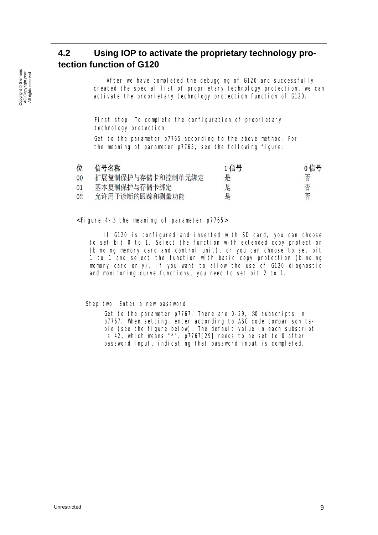### **4.2 Using IOP to activate the proprietary technology protection function of G120**

After we have completed the debugging of G120 and successfully created the special list of proprietary technology protection, we can activate the proprietary technology protection function of G120.

First step To complete the configuration of proprietary technology protection

Get to the parameter p7765 according to the above method. For the meaning of parameter p7765, see the following figure:

| 位  | 信号名称              | 1信号 | 0信号 |
|----|-------------------|-----|-----|
| 00 | 扩展复制保护与存储卡和控制单元绑定 | 是   |     |
| 01 | 基本复制保护与存储卡绑定      | 是   | 否   |
| 02 | 允许用于诊断的跟踪和测量功能    | 是   | 否   |

#### <Figure 4-3 the meaning of parameter p7765>

If G120 is configured and inserted with SD card, you can choose to set bit 0 to 1. Select the function with extended copy protection (binding memory card and control unit), or you can choose to set bit 1 to 1 and select the function with basic copy protection (binding memory card only). If you want to allow the use of G120 diagnostic and monitoring curve functions, you need to set bit 2 to 1.

Step two Enter a new password

Get to the parameter p7767. There are 0-29, 30 subscripts in p7767. When setting, enter according to ASC code comparison table (see the figure below). The default value in each subscript is 42, which means "\*". p7767[29] needs to be set to 0 after password input, indicating that password input is completed.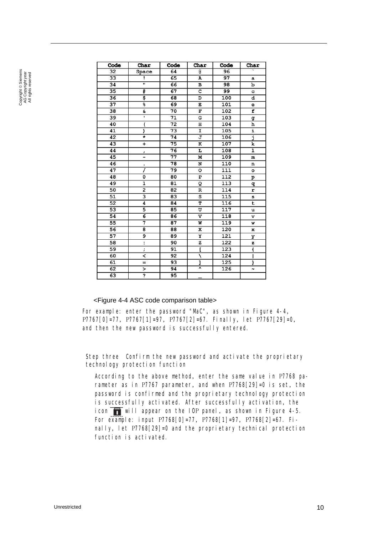| Code            | Char                    | Code            | Char                    | Code | Char                 |
|-----------------|-------------------------|-----------------|-------------------------|------|----------------------|
| 32              | Space                   | 64              | G                       | 96   |                      |
| 33              | ,                       | 65              | A                       | 97   | a                    |
| 34              | $\overline{\mathbf{u}}$ | 66              | в                       | 98   | b                    |
| $\overline{35}$ | #                       | 67              | $\overline{c}$          | 99   | c                    |
| 36              | \$                      | 68              | D                       | 100  | d                    |
| 37              | g                       | 69              | E                       | 101  | e                    |
| 38              | g.                      | 70              | $\overline{F}$          | 102  | f                    |
| 39              | ī                       | $\overline{71}$ | G                       | 103  | g                    |
| 40              | (                       | 72              | н                       | 104  | h                    |
| 41              | ١                       | 73              | I                       | 105  | i                    |
| 42              | ∗                       | 74              | J                       | 106  | j                    |
| 43              | $\overline{+}$          | 75              | K                       | 107  | k                    |
| 44              | ,                       | 76              | r                       | 108  | ı                    |
| 45              | -                       | 77              | М                       | 109  | m                    |
| 46              | ٠                       | 78              | N                       | 110  | n                    |
| 47              | 1                       | 79              | $\circ$                 | 111  | $\circ$              |
| 48              | 0                       | 80              | $\overline{\mathbf{P}}$ | 112  | P                    |
| 49              | $\overline{\mathbf{1}}$ | 81              | Q                       | 113  | q                    |
| 50              | $\overline{2}$          | 82              | $\overline{\mathbf{R}}$ | 114  | r                    |
| 51              | $\overline{\mathbf{3}}$ | 83              | S                       | 115  | s                    |
| 52              | 4                       | 84              | T                       | 116  | t                    |
| 53              | 5                       | 85              | U                       | 117  | u                    |
| 54              | 6                       | 86              | $\overline{\mathbf{v}}$ | 118  | v                    |
| 55              | 7                       | 87              | W                       | 119  | w                    |
| 56              | 8                       | 88              | x                       | 120  | x                    |
| 57              | 9                       | 89              | Y                       | 121  | У                    |
| 58              | $\ddot{\phantom{a}}$    | 90              | z                       | 122  | z                    |
| 59              | $\ddot{ }$              | 91              | ľ                       | 123  | ł                    |
| 60              | ≺                       | 92              | ١                       | 124  | ı                    |
| 61              | $=$                     | 93              | Ī                       | 125  | ł                    |
| 62              | ⋗                       | 94              | ⊼                       | 126  | $\ddot{\phantom{1}}$ |
| 63              | Ś.                      | 95              |                         |      |                      |

#### <span id="page-9-0"></span><Figure 4-4 ASC code comparison table>

For example: enter the password "MaC", as shown in Figure 4-4, P7767[0]=77, P7767[1]=97, P7767[2]=67. Finally, let P7767[29]=0, and then the new password is successfully entered.

Step three Confirm the new password and activate the proprietary technology protection function

<span id="page-9-1"></span>According to the above method, enter the same value in P7768 parameter as in P7767 parameter, and when P7768[29]=0 is set, the password is confirmed and the proprietary technology protection is successfully activated. After successfully activation, the icon  $\blacksquare$  will appear on the IOP panel, as shown in Figure 4-5. For example: input P7768[0]=77, P7768[1]=97, P7768[2]=67. Finally, let P7768[29]=0 and the proprietary technical protection function is activated.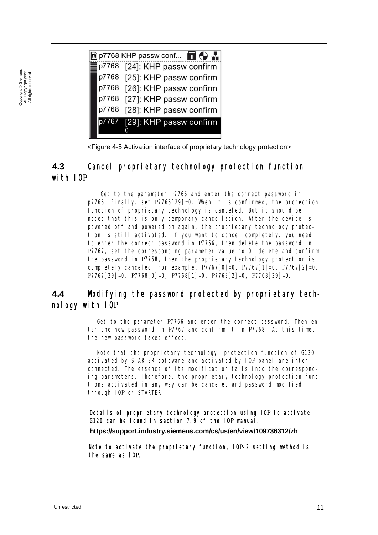$\boxed{0}$  p7768 KHP passw conf...  $\boxed{\bigodot\bigodot\bigoplus\bigodot\bigodot}$ p7768 [24]: KHP passw confirm p7768 [25]: KHP passw confirm [26]: KHP passw confirm p7768 [27]: KHP passw confirm p7768 p7768 [28]: KHP passw confirm [29]: KHP passw confirm p7767 0

<Figure 4-5 Activation interface of proprietary technology protection>

### **4.3** Cancel proprietary technology protection function with IOP

Get to the parameter P7766 and enter the correct password in p7766. Finally, set P7766[29]=0. When it is confirmed, the protection function of proprietary technology is canceled. But it should be noted that this is only temporary cancellation. After the device is powered off and powered on again, the proprietary technology protection is still activated. If you want to cancel completely, you need to enter the correct password in P7766, then delete the password in P7767, set the corresponding parameter value to 0, delete and confirm the password in P7768, then the proprietary technology protection is completely canceled. For example, P7767[0]=0, P7767[1]=0, P7767[2]=0, P7767[29]=0. P7768[0]=0, P7768[1]=0, P7768[2]=0, P7768[29]=0.

#### **4.4** Modifying the password protected by proprietary technology with IOP

Get to the parameter P7766 and enter the correct password. Then enter the new password in P7767 and confirm it in P7768. At this time, the new password takes effect.

Note that the proprietary technology protection function of G120 activated by STARTER software and activated by IOP panel are inter connected. The essence of its modification falls into the corresponding parameters. Therefore, the proprietary technology protection functions activated in any way can be canceled and password modified through IOP or STARTER.

Details of proprietary technology protection using IOP to activate G120 can be found in section 7.9 of the IOP manual.

**https://support.industry.siemens.com/cs/us/en/view/109736312/zh**

Note to activate the proprietary function, IOP-2 setting method is the same as IOP.

Copyright © Siemens<br>AG Copyright year<br>All rights reserved Copyright ã Siemens AG Copyright year All rights reserved